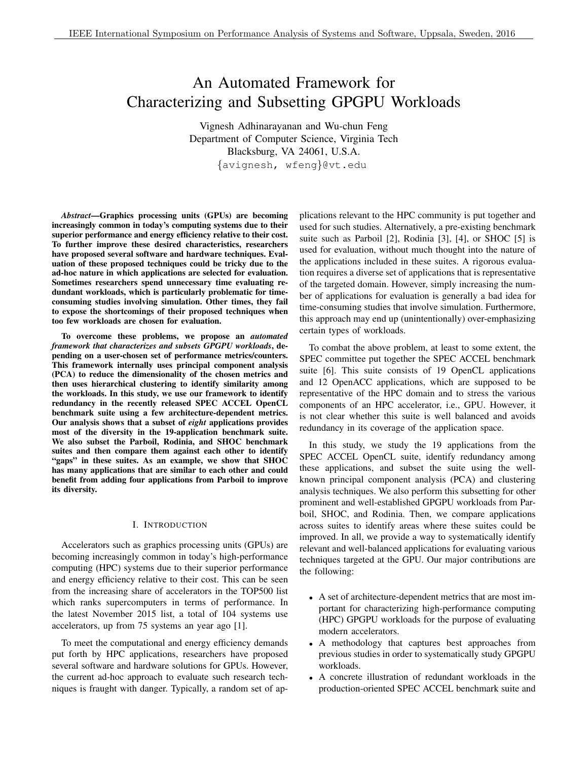# An Automated Framework for Characterizing and Subsetting GPGPU Workloads

Vignesh Adhinarayanan and Wu-chun Feng Department of Computer Science, Virginia Tech Blacksburg, VA 24061, U.S.A. {avignesh, wfeng}@vt.edu

*Abstract*—Graphics processing units (GPUs) are becoming increasingly common in today's computing systems due to their superior performance and energy efficiency relative to their cost. To further improve these desired characteristics, researchers have proposed several software and hardware techniques. Evaluation of these proposed techniques could be tricky due to the ad-hoc nature in which applications are selected for evaluation. Sometimes researchers spend unnecessary time evaluating redundant workloads, which is particularly problematic for timeconsuming studies involving simulation. Other times, they fail to expose the shortcomings of their proposed techniques when too few workloads are chosen for evaluation.

To overcome these problems, we propose an *automated framework that characterizes and subsets GPGPU workloads*, depending on a user-chosen set of performance metrics/counters. This framework internally uses principal component analysis (PCA) to reduce the dimensionality of the chosen metrics and then uses hierarchical clustering to identify similarity among the workloads. In this study, we use our framework to identify redundancy in the recently released SPEC ACCEL OpenCL benchmark suite using a few architecture-dependent metrics. Our analysis shows that a subset of *eight* applications provides most of the diversity in the 19-application benchmark suite. We also subset the Parboil, Rodinia, and SHOC benchmark suites and then compare them against each other to identify "gaps" in these suites. As an example, we show that SHOC has many applications that are similar to each other and could benefit from adding four applications from Parboil to improve its diversity.

## I. INTRODUCTION

Accelerators such as graphics processing units (GPUs) are becoming increasingly common in today's high-performance computing (HPC) systems due to their superior performance and energy efficiency relative to their cost. This can be seen from the increasing share of accelerators in the TOP500 list which ranks supercomputers in terms of performance. In the latest November 2015 list, a total of 104 systems use accelerators, up from 75 systems an year ago [1].

To meet the computational and energy efficiency demands put forth by HPC applications, researchers have proposed several software and hardware solutions for GPUs. However, the current ad-hoc approach to evaluate such research techniques is fraught with danger. Typically, a random set of applications relevant to the HPC community is put together and used for such studies. Alternatively, a pre-existing benchmark suite such as Parboil [2], Rodinia [3], [4], or SHOC [5] is used for evaluation, without much thought into the nature of the applications included in these suites. A rigorous evaluation requires a diverse set of applications that is representative of the targeted domain. However, simply increasing the number of applications for evaluation is generally a bad idea for time-consuming studies that involve simulation. Furthermore, this approach may end up (unintentionally) over-emphasizing certain types of workloads.

To combat the above problem, at least to some extent, the SPEC committee put together the SPEC ACCEL benchmark suite [6]. This suite consists of 19 OpenCL applications and 12 OpenACC applications, which are supposed to be representative of the HPC domain and to stress the various components of an HPC accelerator, i.e., GPU. However, it is not clear whether this suite is well balanced and avoids redundancy in its coverage of the application space.

In this study, we study the 19 applications from the SPEC ACCEL OpenCL suite, identify redundancy among these applications, and subset the suite using the wellknown principal component analysis (PCA) and clustering analysis techniques. We also perform this subsetting for other prominent and well-established GPGPU workloads from Parboil, SHOC, and Rodinia. Then, we compare applications across suites to identify areas where these suites could be improved. In all, we provide a way to systematically identify relevant and well-balanced applications for evaluating various techniques targeted at the GPU. Our major contributions are the following:

- A set of architecture-dependent metrics that are most important for characterizing high-performance computing (HPC) GPGPU workloads for the purpose of evaluating modern accelerators.
- A methodology that captures best approaches from previous studies in order to systematically study GPGPU workloads.
- A concrete illustration of redundant workloads in the production-oriented SPEC ACCEL benchmark suite and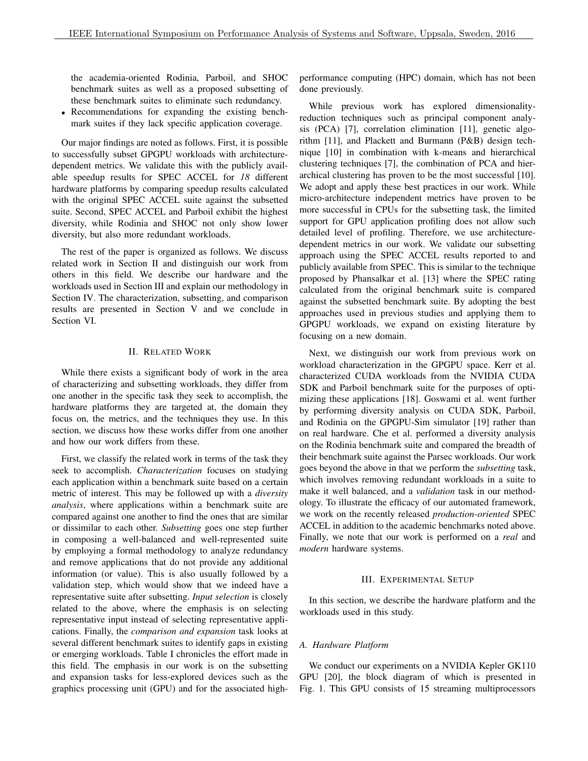the academia-oriented Rodinia, Parboil, and SHOC benchmark suites as well as a proposed subsetting of these benchmark suites to eliminate such redundancy.

• Recommendations for expanding the existing benchmark suites if they lack specific application coverage.

Our major findings are noted as follows. First, it is possible to successfully subset GPGPU workloads with architecturedependent metrics. We validate this with the publicly available speedup results for SPEC ACCEL for *18* different hardware platforms by comparing speedup results calculated with the original SPEC ACCEL suite against the subsetted suite. Second, SPEC ACCEL and Parboil exhibit the highest diversity, while Rodinia and SHOC not only show lower diversity, but also more redundant workloads.

The rest of the paper is organized as follows. We discuss related work in Section II and distinguish our work from others in this field. We describe our hardware and the workloads used in Section III and explain our methodology in Section IV. The characterization, subsetting, and comparison results are presented in Section V and we conclude in Section VI.

# II. RELATED WORK

While there exists a significant body of work in the area of characterizing and subsetting workloads, they differ from one another in the specific task they seek to accomplish, the hardware platforms they are targeted at, the domain they focus on, the metrics, and the techniques they use. In this section, we discuss how these works differ from one another and how our work differs from these.

First, we classify the related work in terms of the task they seek to accomplish. *Characterization* focuses on studying each application within a benchmark suite based on a certain metric of interest. This may be followed up with a *diversity analysis*, where applications within a benchmark suite are compared against one another to find the ones that are similar or dissimilar to each other. *Subsetting* goes one step further in composing a well-balanced and well-represented suite by employing a formal methodology to analyze redundancy and remove applications that do not provide any additional information (or value). This is also usually followed by a validation step, which would show that we indeed have a representative suite after subsetting. *Input selection* is closely related to the above, where the emphasis is on selecting representative input instead of selecting representative applications. Finally, the *comparison and expansion* task looks at several different benchmark suites to identify gaps in existing or emerging workloads. Table I chronicles the effort made in this field. The emphasis in our work is on the subsetting and expansion tasks for less-explored devices such as the graphics processing unit (GPU) and for the associated highperformance computing (HPC) domain, which has not been done previously.

While previous work has explored dimensionalityreduction techniques such as principal component analysis (PCA) [7], correlation elimination [11], genetic algorithm [11], and Plackett and Burmann (P&B) design technique [10] in combination with k-means and hierarchical clustering techniques [7], the combination of PCA and hierarchical clustering has proven to be the most successful [10]. We adopt and apply these best practices in our work. While micro-architecture independent metrics have proven to be more successful in CPUs for the subsetting task, the limited support for GPU application profiling does not allow such detailed level of profiling. Therefore, we use architecturedependent metrics in our work. We validate our subsetting approach using the SPEC ACCEL results reported to and publicly available from SPEC. This is similar to the technique proposed by Phansalkar et al. [13] where the SPEC rating calculated from the original benchmark suite is compared against the subsetted benchmark suite. By adopting the best approaches used in previous studies and applying them to GPGPU workloads, we expand on existing literature by focusing on a new domain.

Next, we distinguish our work from previous work on workload characterization in the GPGPU space. Kerr et al. characterized CUDA workloads from the NVIDIA CUDA SDK and Parboil benchmark suite for the purposes of optimizing these applications [18]. Goswami et al. went further by performing diversity analysis on CUDA SDK, Parboil, and Rodinia on the GPGPU-Sim simulator [19] rather than on real hardware. Che et al. performed a diversity analysis on the Rodinia benchmark suite and compared the breadth of their benchmark suite against the Parsec workloads. Our work goes beyond the above in that we perform the *subsetting* task, which involves removing redundant workloads in a suite to make it well balanced, and a *validation* task in our methodology. To illustrate the efficacy of our automated framework, we work on the recently released *production-oriented* SPEC ACCEL in addition to the academic benchmarks noted above. Finally, we note that our work is performed on a *real* and *modern* hardware systems.

#### III. EXPERIMENTAL SETUP

In this section, we describe the hardware platform and the workloads used in this study.

#### *A. Hardware Platform*

We conduct our experiments on a NVIDIA Kepler GK110 GPU [20], the block diagram of which is presented in Fig. 1. This GPU consists of 15 streaming multiprocessors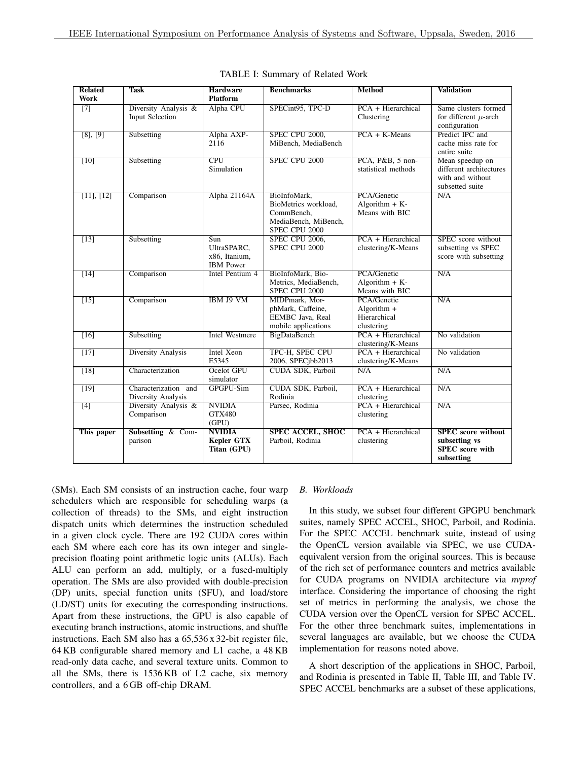| <b>Related</b><br>Work | <b>Task</b>                                    | <b>Hardware</b><br><b>Platform</b>                                          | <b>Benchmarks</b>                                                                           | <b>Method</b>                                              | <b>Validation</b>                                                                  |
|------------------------|------------------------------------------------|-----------------------------------------------------------------------------|---------------------------------------------------------------------------------------------|------------------------------------------------------------|------------------------------------------------------------------------------------|
| [7]                    | Diversity Analysis &<br><b>Input Selection</b> | Alpha CPU                                                                   | SPECint95, TPC-D                                                                            | PCA + Hierarchical<br>Clustering                           | Same clusters formed<br>for different $\mu$ -arch<br>configuration                 |
| [8], [9]               | Subsetting                                     | Alpha AXP-<br>2116                                                          | SPEC CPU 2000,<br>MiBench, MediaBench                                                       | $PCA + K-Means$                                            | Predict IPC and<br>cache miss rate for<br>entire suite                             |
| $\overline{110}$       | Subsetting                                     | CPU<br>Simulation                                                           | SPEC CPU 2000                                                                               | PCA, P&B, 5 non-<br>statistical methods                    | Mean speedup on<br>different architectures<br>with and without<br>subsetted suite  |
| [11], [12]             | Comparison                                     | Alpha 21164A                                                                | BioInfoMark,<br>BioMetrics workload,<br>CommBench,<br>MediaBench, MiBench,<br>SPEC CPU 2000 | PCA/Genetic<br>Algorithm $+$ K-<br>Means with BIC          | N/A                                                                                |
| $\overline{1131}$      | Subsetting                                     | $\overline{\text{Sun}}$<br>UltraSPARC,<br>x86, Itanium,<br><b>IBM</b> Power | SPEC CPU 2006,<br>SPEC CPU 2000                                                             | $PCA + Hierarchical$<br>clustering/K-Means                 | SPEC score without<br>subsetting vs SPEC<br>score with subsetting                  |
| $[14]$                 | Comparison                                     | Intel Pentium 4                                                             | BioInfoMark, Bio-<br>Metrics, MediaBench,<br>SPEC CPU 2000                                  | PCA/Genetic<br>Algorithm $+$ K-<br>Means with BIC          | N/A                                                                                |
| $\overline{115}$       | Comparison                                     | IBM J9 VM                                                                   | MIDPmark, Mor-<br>phMark, Caffeine,<br>EEMBC Java, Real<br>mobile applications              | PCA/Genetic<br>Algorithm $+$<br>Hierarchical<br>clustering | N/A                                                                                |
| $\overline{116}$       | Subsetting                                     | <b>Intel Westmere</b>                                                       | BigDataBench                                                                                | PCA + Hierarchical<br>clustering/K-Means                   | No validation                                                                      |
| $[17]$                 | Diversity Analysis                             | Intel Xeon<br>E5345                                                         | TPC-H, SPEC CPU<br>2006, SPECjbb2013                                                        | PCA + Hierarchical<br>clustering/K-Means                   | No validation                                                                      |
| $[18]$                 | Characterization                               | Ocelot GPU<br>simulator                                                     | <b>CUDA SDK. Parboil</b>                                                                    | N/A                                                        | N/A                                                                                |
| $\overline{19}$        | Characterization and<br>Diversity Analysis     | <b>GPGPU-Sim</b>                                                            | CUDA SDK, Parboil,<br>Rodinia                                                               | PCA + Hierarchical<br>clustering                           | N/A                                                                                |
| $\overline{[4]}$       | Diversity Analysis &<br>Comparison             | <b>NVIDIA</b><br><b>GTX480</b><br>(GPU)                                     | Parsec, Rodinia                                                                             | PCA + Hierarchical<br>clustering                           | N/A                                                                                |
| This paper             | Subsetting & Com-<br>parison                   | <b>NVIDIA</b><br>Kepler GTX<br>Titan (GPU)                                  | <b>SPEC ACCEL, SHOC</b><br>Parboil, Rodinia                                                 | $PCA + Hierarchical$<br>clustering                         | <b>SPEC</b> score without<br>subsetting vs<br><b>SPEC</b> score with<br>subsetting |

| TABLE I: Summary of Related Work |  |  |  |
|----------------------------------|--|--|--|
|----------------------------------|--|--|--|

(SMs). Each SM consists of an instruction cache, four warp schedulers which are responsible for scheduling warps (a collection of threads) to the SMs, and eight instruction dispatch units which determines the instruction scheduled in a given clock cycle. There are 192 CUDA cores within each SM where each core has its own integer and singleprecision floating point arithmetic logic units (ALUs). Each ALU can perform an add, multiply, or a fused-multiply operation. The SMs are also provided with double-precision (DP) units, special function units (SFU), and load/store (LD/ST) units for executing the corresponding instructions. Apart from these instructions, the GPU is also capable of executing branch instructions, atomic instructions, and shuffle instructions. Each SM also has a 65,536 x 32-bit register file, 64 KB configurable shared memory and L1 cache, a 48 KB read-only data cache, and several texture units. Common to all the SMs, there is 1536 KB of L2 cache, six memory controllers, and a 6 GB off-chip DRAM.

# *B. Workloads*

In this study, we subset four different GPGPU benchmark suites, namely SPEC ACCEL, SHOC, Parboil, and Rodinia. For the SPEC ACCEL benchmark suite, instead of using the OpenCL version available via SPEC, we use CUDAequivalent version from the original sources. This is because of the rich set of performance counters and metrics available for CUDA programs on NVIDIA architecture via *nvprof* interface. Considering the importance of choosing the right set of metrics in performing the analysis, we chose the CUDA version over the OpenCL version for SPEC ACCEL. For the other three benchmark suites, implementations in several languages are available, but we choose the CUDA implementation for reasons noted above.

A short description of the applications in SHOC, Parboil, and Rodinia is presented in Table II, Table III, and Table IV. SPEC ACCEL benchmarks are a subset of these applications,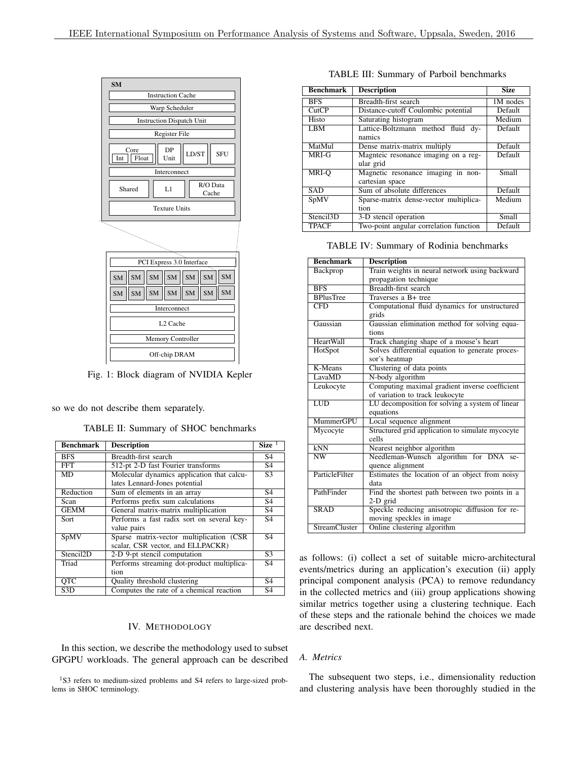

Fig. 1: Block diagram of NVIDIA Kepler

so we do not describe them separately.

TABLE II: Summary of SHOC benchmarks

| <b>Benchmark</b>      | <b>Description</b>                         | Size <sup>1</sup> |
|-----------------------|--------------------------------------------|-------------------|
| <b>BFS</b>            | Breadth-first search                       | S <sub>4</sub>    |
| <b>FFT</b>            | 512-pt 2-D fast Fourier transforms         | S <sub>4</sub>    |
| $\overline{MD}$       | Molecular dynamics application that calcu- | $\overline{S3}$   |
|                       | lates Lennard-Jones potential              |                   |
| Reduction             | Sum of elements in an array                | S <sub>4</sub>    |
| Scan                  | Performs prefix sum calculations           | S <sub>4</sub>    |
| <b>GEMM</b>           | General matrix-matrix multiplication       | $\overline{S4}$   |
| Sort                  | Performs a fast radix sort on several key- | $\overline{S4}$   |
|                       | value pairs                                |                   |
| SpMV                  | Sparse matrix-vector multiplication (CSR   | S <sub>4</sub>    |
|                       | scalar, CSR vector, and ELLPACKR)          |                   |
| Stencil <sub>2D</sub> | 2-D 9-pt stencil computation               | S <sub>3</sub>    |
| Triad                 | Performs streaming dot-product multiplica- | S <sub>4</sub>    |
|                       | tion                                       |                   |
| <b>OTC</b>            | Quality threshold clustering               | S <sub>4</sub>    |
| S <sub>3</sub> D      | Computes the rate of a chemical reaction   | S <sub>4</sub>    |

### IV. METHODOLOGY

In this section, we describe the methodology used to subset GPGPU workloads. The general approach can be described

<sup>1</sup>S3 refers to medium-sized problems and S4 refers to large-sized problems in SHOC terminology.

| <b>Benchmark</b>       | <b>Description</b>                     | <b>Size</b> |
|------------------------|----------------------------------------|-------------|
| <b>BFS</b>             | Breadth-first search                   | 1M nodes    |
| CutCP                  | Distance-cutoff Coulombic potential    | Default     |
| Histo                  | Saturating histogram                   | Medium      |
| LBM                    | Lattice-Boltzmann method fluid dy-     | Default     |
|                        | namics                                 |             |
| MatMul                 | Dense matrix-matrix multiply           | Default     |
| MRI-G                  | Magnteic resonance imaging on a reg-   | Default     |
|                        | ular grid                              |             |
| MRI-O                  | Magnetic resonance imaging in non-     | Small       |
|                        | cartesian space                        |             |
| <b>SAD</b>             | Sum of absolute differences            | Default     |
| SpMV                   | Sparse-matrix dense-vector multiplica- | Medium      |
|                        | tion                                   |             |
| Stencil <sub>3</sub> D | 3-D stencil operation                  | Small       |
| <b>TPACF</b>           | Two-point angular correlation function | Default     |

# TABLE III: Summary of Parboil benchmarks

TABLE IV: Summary of Rodinia benchmarks

| <b>Benchmark</b>         | <b>Description</b>                               |
|--------------------------|--------------------------------------------------|
| Backprop                 | Train weights in neural network using backward   |
|                          | propagation technique                            |
| <b>BFS</b>               | Breadth-first search                             |
| <b>BPlusTree</b>         | Traverses a B+ tree                              |
| CFD                      | Computational fluid dynamics for unstructured    |
|                          | grids                                            |
| Gaussian                 | Gaussian elimination method for solving equa-    |
|                          | tions                                            |
| <b>HeartWall</b>         | Track changing shape of a mouse's heart          |
| HotSpot                  | Solves differential equation to generate proces- |
|                          | sor's heatmap                                    |
| K-Means                  | Clustering of data points                        |
| LavaMD                   | N-body algorithm                                 |
| Leukocyte                | Computing maximal gradient inverse coefficient   |
|                          | of variation to track leukocyte                  |
| LUD                      | LU decomposition for solving a system of linear  |
|                          | equations                                        |
| MummerGPU                | Local sequence alignment                         |
| Mycocyte                 | Structured grid application to simulate mycocyte |
|                          | cells                                            |
| kNN                      | Nearest neighbor algorithm                       |
| $\overline{\text{NW}}$   | Needleman-Wunsch algorithm for DNA<br>se-        |
|                          | quence alignment                                 |
| ParticleFilter           | Estimates the location of an object from noisy   |
|                          | data                                             |
| PathFinder               | Find the shortest path between two points in a   |
|                          | 2-D grid                                         |
| $\overline{\text{SRAD}}$ | Speckle reducing anisotropic diffusion for re-   |
|                          | moving speckles in image                         |
| <b>StreamCluster</b>     | Online clustering algorithm                      |

as follows: (i) collect a set of suitable micro-architectural events/metrics during an application's execution (ii) apply principal component analysis (PCA) to remove redundancy in the collected metrics and (iii) group applications showing similar metrics together using a clustering technique. Each of these steps and the rationale behind the choices we made are described next.

## *A. Metrics*

The subsequent two steps, i.e., dimensionality reduction and clustering analysis have been thoroughly studied in the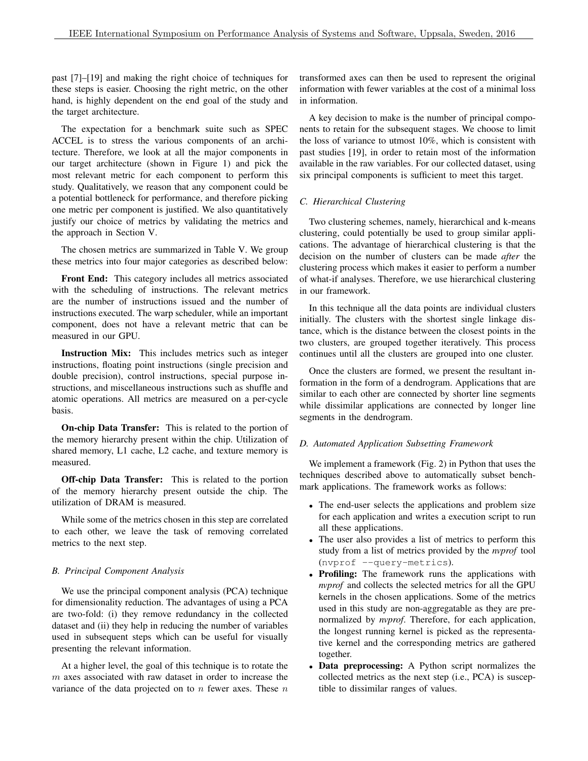past [7]–[19] and making the right choice of techniques for these steps is easier. Choosing the right metric, on the other hand, is highly dependent on the end goal of the study and the target architecture.

The expectation for a benchmark suite such as SPEC ACCEL is to stress the various components of an architecture. Therefore, we look at all the major components in our target architecture (shown in Figure 1) and pick the most relevant metric for each component to perform this study. Qualitatively, we reason that any component could be a potential bottleneck for performance, and therefore picking one metric per component is justified. We also quantitatively justify our choice of metrics by validating the metrics and the approach in Section V.

The chosen metrics are summarized in Table V. We group these metrics into four major categories as described below:

Front End: This category includes all metrics associated with the scheduling of instructions. The relevant metrics are the number of instructions issued and the number of instructions executed. The warp scheduler, while an important component, does not have a relevant metric that can be measured in our GPU.

Instruction Mix: This includes metrics such as integer instructions, floating point instructions (single precision and double precision), control instructions, special purpose instructions, and miscellaneous instructions such as shuffle and atomic operations. All metrics are measured on a per-cycle basis.

On-chip Data Transfer: This is related to the portion of the memory hierarchy present within the chip. Utilization of shared memory, L1 cache, L2 cache, and texture memory is measured.

Off-chip Data Transfer: This is related to the portion of the memory hierarchy present outside the chip. The utilization of DRAM is measured.

While some of the metrics chosen in this step are correlated to each other, we leave the task of removing correlated metrics to the next step.

# *B. Principal Component Analysis*

We use the principal component analysis (PCA) technique for dimensionality reduction. The advantages of using a PCA are two-fold: (i) they remove redundancy in the collected dataset and (ii) they help in reducing the number of variables used in subsequent steps which can be useful for visually presenting the relevant information.

At a higher level, the goal of this technique is to rotate the m axes associated with raw dataset in order to increase the variance of the data projected on to  $n$  fewer axes. These  $n$ 

transformed axes can then be used to represent the original information with fewer variables at the cost of a minimal loss in information.

A key decision to make is the number of principal components to retain for the subsequent stages. We choose to limit the loss of variance to utmost 10%, which is consistent with past studies [19], in order to retain most of the information available in the raw variables. For our collected dataset, using six principal components is sufficient to meet this target.

# *C. Hierarchical Clustering*

Two clustering schemes, namely, hierarchical and k-means clustering, could potentially be used to group similar applications. The advantage of hierarchical clustering is that the decision on the number of clusters can be made *after* the clustering process which makes it easier to perform a number of what-if analyses. Therefore, we use hierarchical clustering in our framework.

In this technique all the data points are individual clusters initially. The clusters with the shortest single linkage distance, which is the distance between the closest points in the two clusters, are grouped together iteratively. This process continues until all the clusters are grouped into one cluster.

Once the clusters are formed, we present the resultant information in the form of a dendrogram. Applications that are similar to each other are connected by shorter line segments while dissimilar applications are connected by longer line segments in the dendrogram.

# *D. Automated Application Subsetting Framework*

We implement a framework (Fig. 2) in Python that uses the techniques described above to automatically subset benchmark applications. The framework works as follows:

- The end-user selects the applications and problem size for each application and writes a execution script to run all these applications.
- The user also provides a list of metrics to perform this study from a list of metrics provided by the *nvprof* tool (nvprof --query-metrics).
- Profiling: The framework runs the applications with *nvprof* and collects the selected metrics for all the GPU kernels in the chosen applications. Some of the metrics used in this study are non-aggregatable as they are prenormalized by *nvprof*. Therefore, for each application, the longest running kernel is picked as the representative kernel and the corresponding metrics are gathered together.
- Data preprocessing: A Python script normalizes the collected metrics as the next step (i.e., PCA) is susceptible to dissimilar ranges of values.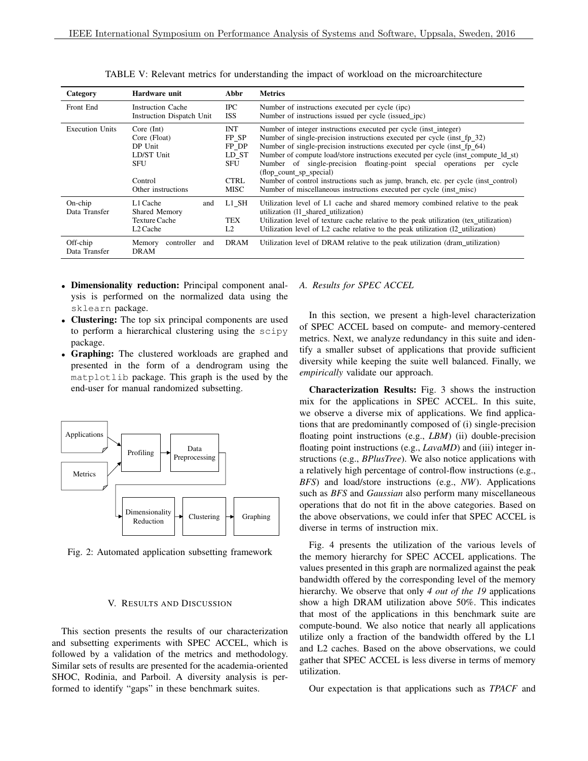| Category                    | Hardware unit                                                                                      | Abbr                                                                | <b>Metrics</b>                                                                                                                                                                                                                                                                                                                                                                                                                                                                                                                                                                   |
|-----------------------------|----------------------------------------------------------------------------------------------------|---------------------------------------------------------------------|----------------------------------------------------------------------------------------------------------------------------------------------------------------------------------------------------------------------------------------------------------------------------------------------------------------------------------------------------------------------------------------------------------------------------------------------------------------------------------------------------------------------------------------------------------------------------------|
| Front End                   | <b>Instruction Cache</b><br>Instruction Dispatch Unit                                              | IPC.<br>ISS.                                                        | Number of instructions executed per cycle (ipc)<br>Number of instructions issued per cycle (issued_ipc)                                                                                                                                                                                                                                                                                                                                                                                                                                                                          |
| <b>Execution Units</b>      | Core (Int)<br>Core (Float)<br>DP Unit<br>LD/ST Unit<br><b>SFU</b><br>Control<br>Other instructions | INT<br>FP_SP<br>FP DP<br>LD ST<br><b>SFU</b><br><b>CTRL</b><br>MISC | Number of integer instructions executed per cycle (inst_integer)<br>Number of single-precision instructions executed per cycle (inst_fp_32)<br>Number of single-precision instructions executed per cycle (inst_fp_64)<br>Number of compute load/store instructions executed per cycle (inst_compute_ld_st)<br>Number of single-precision floating-point special operations per<br>cycle<br>(flop count sp special)<br>Number of control instructions such as jump, branch, etc. per cycle (inst control)<br>Number of miscellaneous instructions executed per cycle (inst_misc) |
| $On$ -chip<br>Data Transfer | L1 Cache<br>and<br><b>Shared Memory</b><br>Texture Cache<br>L2 Cache                               | $L1\_SH$<br>TEX<br>L2                                               | Utilization level of L1 cache and shared memory combined relative to the peak<br>utilization (11 shared utilization)<br>Utilization level of texture cache relative to the peak utilization (tex_utilization)<br>Utilization level of L2 cache relative to the peak utilization (12_utilization)                                                                                                                                                                                                                                                                                 |
| Off-chip<br>Data Transfer   | controller<br>Memory<br>and<br><b>DRAM</b>                                                         | DRAM                                                                | Utilization level of DRAM relative to the peak utilization (dram_utilization)                                                                                                                                                                                                                                                                                                                                                                                                                                                                                                    |

TABLE V: Relevant metrics for understanding the impact of workload on the microarchitecture

- Dimensionality reduction: Principal component analysis is performed on the normalized data using the sklearn package.
- Clustering: The top six principal components are used to perform a hierarchical clustering using the scipy package.
- Graphing: The clustered workloads are graphed and presented in the form of a dendrogram using the matplotlib package. This graph is the used by the end-user for manual randomized subsetting.



Fig. 2: Automated application subsetting framework

# V. RESULTS AND DISCUSSION

This section presents the results of our characterization and subsetting experiments with SPEC ACCEL, which is followed by a validation of the metrics and methodology. Similar sets of results are presented for the academia-oriented SHOC, Rodinia, and Parboil. A diversity analysis is performed to identify "gaps" in these benchmark suites.

# *A. Results for SPEC ACCEL*

In this section, we present a high-level characterization of SPEC ACCEL based on compute- and memory-centered metrics. Next, we analyze redundancy in this suite and identify a smaller subset of applications that provide sufficient diversity while keeping the suite well balanced. Finally, we *empirically* validate our approach.

Characterization Results: Fig. 3 shows the instruction mix for the applications in SPEC ACCEL. In this suite, we observe a diverse mix of applications. We find applications that are predominantly composed of (i) single-precision floating point instructions (e.g., *LBM*) (ii) double-precision floating point instructions (e.g., *LavaMD*) and (iii) integer instructions (e.g., *BPlusTree*). We also notice applications with a relatively high percentage of control-flow instructions (e.g., *BFS*) and load/store instructions (e.g., *NW*). Applications such as *BFS* and *Gaussian* also perform many miscellaneous operations that do not fit in the above categories. Based on the above observations, we could infer that SPEC ACCEL is diverse in terms of instruction mix.

Fig. 4 presents the utilization of the various levels of the memory hierarchy for SPEC ACCEL applications. The values presented in this graph are normalized against the peak bandwidth offered by the corresponding level of the memory hierarchy. We observe that only *4 out of the 19* applications show a high DRAM utilization above 50%. This indicates that most of the applications in this benchmark suite are compute-bound. We also notice that nearly all applications utilize only a fraction of the bandwidth offered by the L1 and L2 caches. Based on the above observations, we could gather that SPEC ACCEL is less diverse in terms of memory utilization.

Our expectation is that applications such as *TPACF* and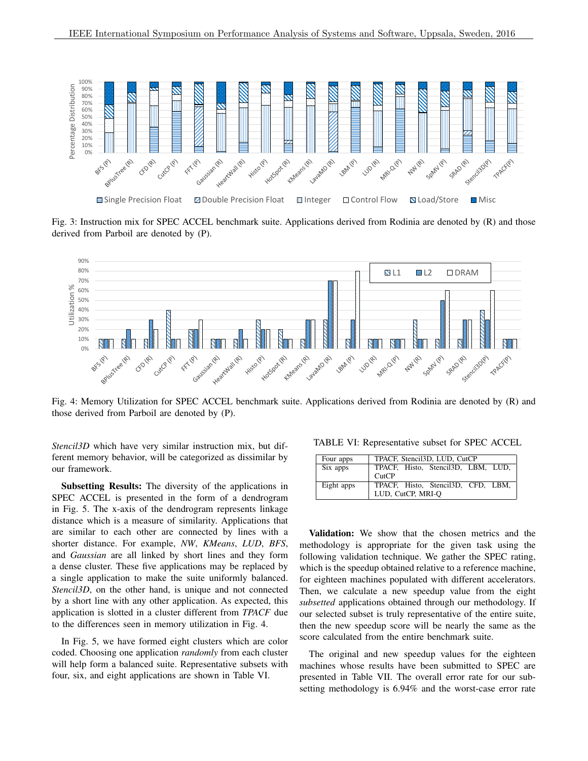

Fig. 3: Instruction mix for SPEC ACCEL benchmark suite. Applications derived from Rodinia are denoted by (R) and those derived from Parboil are denoted by (P).



Fig. 4: Memory Utilization for SPEC ACCEL benchmark suite. Applications derived from Rodinia are denoted by (R) and those derived from Parboil are denoted by (P).

*Stencil3D* which have very similar instruction mix, but different memory behavior, will be categorized as dissimilar by our framework.

Subsetting Results: The diversity of the applications in SPEC ACCEL is presented in the form of a dendrogram in Fig. 5. The x-axis of the dendrogram represents linkage distance which is a measure of similarity. Applications that are similar to each other are connected by lines with a shorter distance. For example, *NW*, *KMeans*, *LUD*, *BFS*, and *Gaussian* are all linked by short lines and they form a dense cluster. These five applications may be replaced by a single application to make the suite uniformly balanced. *Stencil3D*, on the other hand, is unique and not connected by a short line with any other application. As expected, this application is slotted in a cluster different from *TPACF* due to the differences seen in memory utilization in Fig. 4.

In Fig. 5, we have formed eight clusters which are color coded. Choosing one application *randomly* from each cluster will help form a balanced suite. Representative subsets with four, six, and eight applications are shown in Table VI.

| TABLE VI: Representative subset for SPEC ACCEL |  |
|------------------------------------------------|--|
|------------------------------------------------|--|

| Four apps  | TPACF, Stencil3D, LUD, CutCP                    |  |  |
|------------|-------------------------------------------------|--|--|
| Six apps   | TPACF, Histo, Stencil3D, LBM, LUD,              |  |  |
|            | CutCP                                           |  |  |
| Eight apps | TPACF, Histo, Stencil <sup>3D</sup> , CFD, LBM, |  |  |
|            | LUD, CutCP, MRI-O                               |  |  |

Validation: We show that the chosen metrics and the methodology is appropriate for the given task using the following validation technique. We gather the SPEC rating, which is the speedup obtained relative to a reference machine, for eighteen machines populated with different accelerators. Then, we calculate a new speedup value from the eight *subsetted* applications obtained through our methodology. If our selected subset is truly representative of the entire suite, then the new speedup score will be nearly the same as the score calculated from the entire benchmark suite.

The original and new speedup values for the eighteen machines whose results have been submitted to SPEC are presented in Table VII. The overall error rate for our subsetting methodology is 6.94% and the worst-case error rate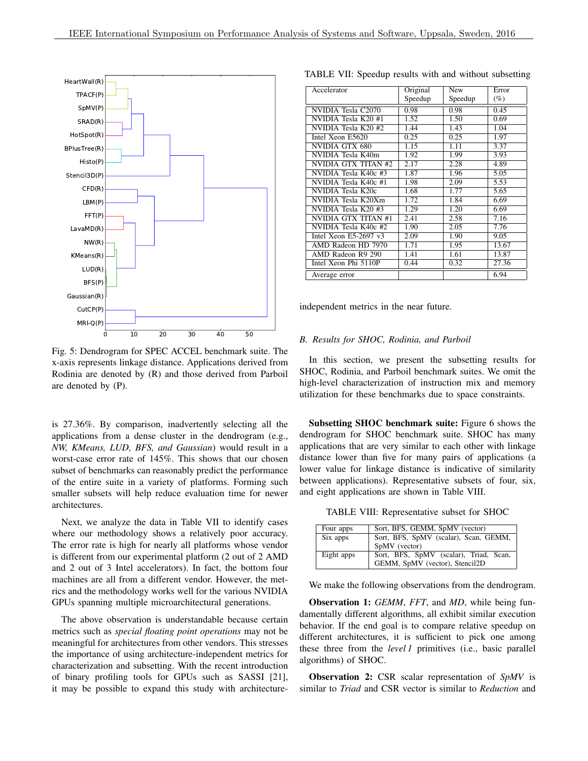

Fig. 5: Dendrogram for SPEC ACCEL benchmark suite. The x-axis represents linkage distance. Applications derived from Rodinia are denoted by (R) and those derived from Parboil are denoted by (P).

is 27.36%. By comparison, inadvertently selecting all the applications from a dense cluster in the dendrogram (e.g., *NW, KMeans, LUD, BFS, and Gaussian*) would result in a worst-case error rate of 145%. This shows that our chosen subset of benchmarks can reasonably predict the performance of the entire suite in a variety of platforms. Forming such smaller subsets will help reduce evaluation time for newer architectures.

Next, we analyze the data in Table VII to identify cases where our methodology shows a relatively poor accuracy. The error rate is high for nearly all platforms whose vendor is different from our experimental platform (2 out of 2 AMD and 2 out of 3 Intel accelerators). In fact, the bottom four machines are all from a different vendor. However, the metrics and the methodology works well for the various NVIDIA GPUs spanning multiple microarchitectural generations.

The above observation is understandable because certain metrics such as *special floating point operations* may not be meaningful for architectures from other vendors. This stresses the importance of using architecture-independent metrics for characterization and subsetting. With the recent introduction of binary profiling tools for GPUs such as SASSI [21], it may be possible to expand this study with architecture-

| Accelerator             | Original<br>Speedup | New<br>Speedup | Error<br>$(\%)$ |
|-------------------------|---------------------|----------------|-----------------|
| NVIDIA Tesla C2070      | 0.98                | 0.98           | 0.45            |
| NVIDIA Tesla K20 #1     | 1.52                | 1.50           | 0.69            |
| NVIDIA Tesla K20 #2     | 1.44                | 1.43           | 1.04            |
| Intel Xeon E5620        | 0.25                | 0.25           | 1.97            |
| NVIDIA GTX 680          | 1.15                | 1.11           | 3.37            |
| NVIDIA Tesla K40m       | 1.92                | 1.99           | 3.93            |
| NVIDIA GTX TITAN #2     | 2.17                | 2.28           | 4.89            |
| NVIDIA Tesla K40c #3    | 1.87                | 1.96           | 5.05            |
| NVIDIA Tesla K40c #1    | 1.98                | 2.09           | 5.53            |
| NVIDIA Tesla K20c       | 1.68                | 1.77           | 5.65            |
| NVIDIA Tesla K20Xm      | 1.72                | 1.84           | 6.69            |
| NVIDIA Tesla K20 #3     | 1.29                | 1.20           | 6.69            |
| NVIDIA GTX TITAN #1     | 2.41                | 2.58           | 7.16            |
| NVIDIA Tesla K40c #2    | 1.90                | 2.05           | 7.76            |
| Intel Xeon $E5-2697$ v3 | 2.09                | 1.90           | 9.05            |
| AMD Radeon HD 7970      | 1.71                | 1.95           | 13.67           |
| AMD Radeon R9 290       | 1.41                | 1.61           | 13.87           |
| Intel Xeon Phi 5110P    | 0.44                | 0.32           | 27.36           |
| Average error           |                     |                | 6.94            |

TABLE VII: Speedup results with and without subsetting

independent metrics in the near future.

# *B. Results for SHOC, Rodinia, and Parboil*

In this section, we present the subsetting results for SHOC, Rodinia, and Parboil benchmark suites. We omit the high-level characterization of instruction mix and memory utilization for these benchmarks due to space constraints.

Subsetting SHOC benchmark suite: Figure 6 shows the dendrogram for SHOC benchmark suite. SHOC has many applications that are very similar to each other with linkage distance lower than five for many pairs of applications (a lower value for linkage distance is indicative of similarity between applications). Representative subsets of four, six, and eight applications are shown in Table VIII.

TABLE VIII: Representative subset for SHOC

| Four apps  | Sort, BFS, GEMM, SpMV (vector)         |
|------------|----------------------------------------|
| Six apps   | Sort, BFS, SpMV (scalar), Scan, GEMM,  |
|            | SpMV (vector)                          |
| Eight apps | Sort, BFS, SpMV (scalar), Triad, Scan, |
|            | GEMM, SpMV (vector), Stencil2D         |

We make the following observations from the dendrogram.

Observation 1: *GEMM*, *FFT*, and *MD*, while being fundamentally different algorithms, all exhibit similar execution behavior. If the end goal is to compare relative speedup on different architectures, it is sufficient to pick one among these three from the *level 1* primitives (i.e., basic parallel algorithms) of SHOC.

Observation 2: CSR scalar representation of *SpMV* is similar to *Triad* and CSR vector is similar to *Reduction* and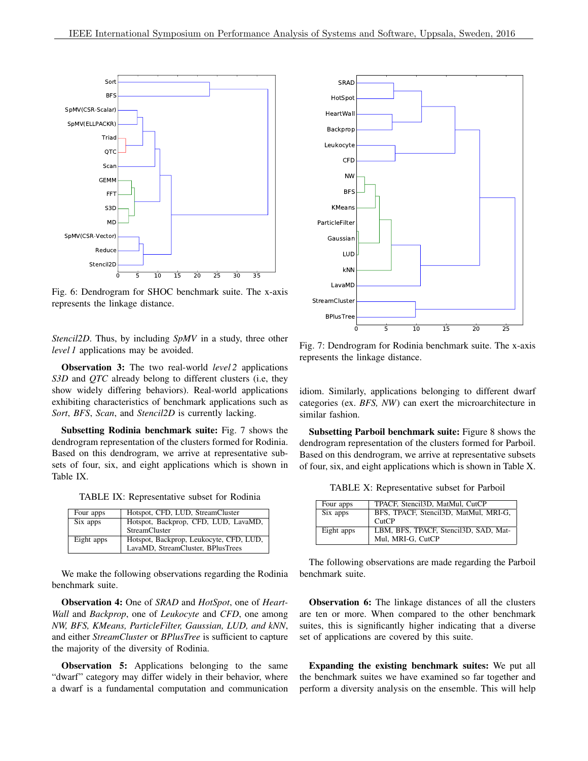

Fig. 6: Dendrogram for SHOC benchmark suite. The x-axis represents the linkage distance.

*Stencil2D*. Thus, by including *SpMV* in a study, three other *level 1* applications may be avoided.

**Observation 3:** The two real-world *level* 2 applications *S3D* and *QTC* already belong to different clusters (i.e, they show widely differing behaviors). Real-world applications exhibiting characteristics of benchmark applications such as *Sort*, *BFS*, *Scan*, and *Stencil2D* is currently lacking.

Subsetting Rodinia benchmark suite: Fig. 7 shows the dendrogram representation of the clusters formed for Rodinia. Based on this dendrogram, we arrive at representative subsets of four, six, and eight applications which is shown in Table IX.

TABLE IX: Representative subset for Rodinia

| Four apps  | Hotspot, CFD, LUD, StreamCluster        |
|------------|-----------------------------------------|
| Six apps   | Hotspot, Backprop, CFD, LUD, LavaMD,    |
|            | StreamCluster                           |
| Eight apps | Hotspot, Backprop, Leukocyte, CFD, LUD, |
|            | LavaMD, StreamCluster, BPlusTrees       |

We make the following observations regarding the Rodinia benchmark suite.

Observation 4: One of *SRAD* and *HotSpot*, one of *Heart-Wall* and *Backprop*, one of *Leukocyte* and *CFD*, one among *NW, BFS, KMeans, ParticleFilter, Gaussian, LUD, and kNN*, and either *StreamCluster* or *BPlusTree* is sufficient to capture the majority of the diversity of Rodinia.

Observation 5: Applications belonging to the same "dwarf" category may differ widely in their behavior, where a dwarf is a fundamental computation and communication



Fig. 7: Dendrogram for Rodinia benchmark suite. The x-axis represents the linkage distance.

idiom. Similarly, applications belonging to different dwarf categories (ex. *BFS, NW*) can exert the microarchitecture in similar fashion.

Subsetting Parboil benchmark suite: Figure 8 shows the dendrogram representation of the clusters formed for Parboil. Based on this dendrogram, we arrive at representative subsets of four, six, and eight applications which is shown in Table X.

TABLE X: Representative subset for Parboil

| Four apps  | TPACF, Stencil3D, MatMul, CutCP       |
|------------|---------------------------------------|
| Six apps   | BFS, TPACF, Stencil3D, MatMul, MRI-G, |
|            | CutCP                                 |
| Eight apps | LBM, BFS, TPACF, Stencil3D, SAD, Mat- |
|            | Mul. MRI-G. CutCP                     |

The following observations are made regarding the Parboil benchmark suite.

Observation 6: The linkage distances of all the clusters are ten or more. When compared to the other benchmark suites, this is significantly higher indicating that a diverse set of applications are covered by this suite.

Expanding the existing benchmark suites: We put all the benchmark suites we have examined so far together and perform a diversity analysis on the ensemble. This will help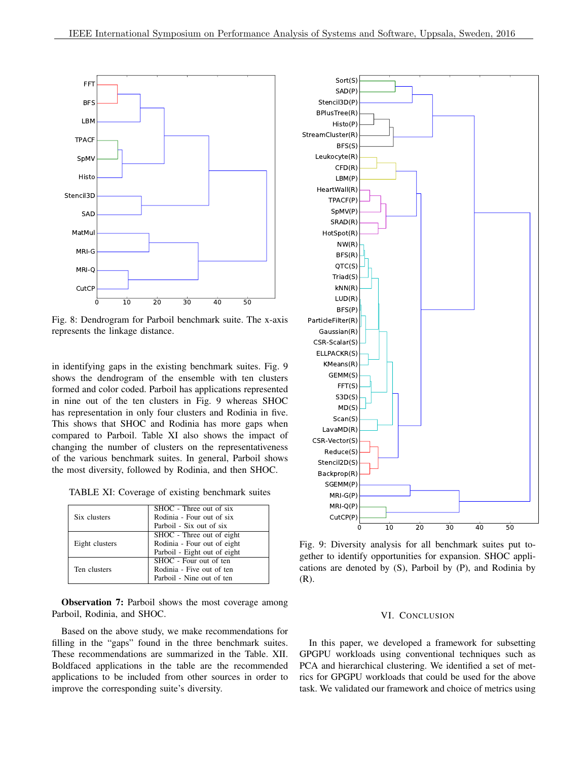

Fig. 8: Dendrogram for Parboil benchmark suite. The x-axis represents the linkage distance.

in identifying gaps in the existing benchmark suites. Fig. 9 shows the dendrogram of the ensemble with ten clusters formed and color coded. Parboil has applications represented in nine out of the ten clusters in Fig. 9 whereas SHOC has representation in only four clusters and Rodinia in five. This shows that SHOC and Rodinia has more gaps when compared to Parboil. Table XI also shows the impact of changing the number of clusters on the representativeness of the various benchmark suites. In general, Parboil shows the most diversity, followed by Rodinia, and then SHOC.

TABLE XI: Coverage of existing benchmark suites

|                | SHOC - Three out of six      |
|----------------|------------------------------|
| Six clusters   | Rodinia - Four out of six    |
|                | Parboil - Six out of six     |
| Eight clusters | SHOC - Three out of eight    |
|                | Rodinia - Four out of eight  |
|                | Parboil - Eight out of eight |
| Ten clusters   | SHOC - Four out of ten       |
|                | Rodinia - Five out of ten    |
|                | Parboil - Nine out of ten    |
|                |                              |

Observation 7: Parboil shows the most coverage among Parboil, Rodinia, and SHOC.

Based on the above study, we make recommendations for filling in the "gaps" found in the three benchmark suites. These recommendations are summarized in the Table. XII. Boldfaced applications in the table are the recommended applications to be included from other sources in order to improve the corresponding suite's diversity.



Fig. 9: Diversity analysis for all benchmark suites put together to identify opportunities for expansion. SHOC applications are denoted by (S), Parboil by (P), and Rodinia by (R).

#### VI. CONCLUSION

In this paper, we developed a framework for subsetting GPGPU workloads using conventional techniques such as PCA and hierarchical clustering. We identified a set of metrics for GPGPU workloads that could be used for the above task. We validated our framework and choice of metrics using